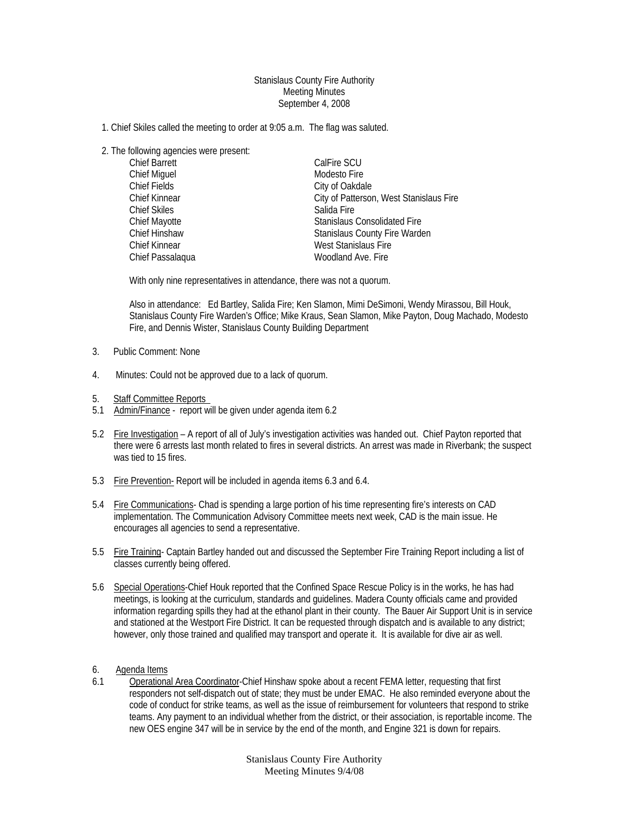## Stanislaus County Fire Authority Meeting Minutes September 4, 2008

- 1. Chief Skiles called the meeting to order at 9:05 a.m. The flag was saluted.
- 2. The following agencies were present:

| <b>Chief Barrett</b> | CalFire SCU                             |
|----------------------|-----------------------------------------|
| Chief Miguel         | Modesto Fire                            |
| Chief Fields         | City of Oakdale                         |
| <b>Chief Kinnear</b> | City of Patterson, West Stanislaus Fire |
| <b>Chief Skiles</b>  | Salida Fire                             |
| Chief Mayotte        | <b>Stanislaus Consolidated Fire</b>     |
| Chief Hinshaw        | Stanislaus County Fire Warden           |
| <b>Chief Kinnear</b> | West Stanislaus Fire                    |
| Chief Passalaqua     | Woodland Ave. Fire                      |

With only nine representatives in attendance, there was not a quorum.

Also in attendance: Ed Bartley, Salida Fire; Ken Slamon, Mimi DeSimoni, Wendy Mirassou, Bill Houk, Stanislaus County Fire Warden's Office; Mike Kraus, Sean Slamon, Mike Payton, Doug Machado, Modesto Fire, and Dennis Wister, Stanislaus County Building Department

- 3. Public Comment: None
- 4. Minutes: Could not be approved due to a lack of quorum.
- 5. Staff Committee Reports
- 5.1 Admin/Finance report will be given under agenda item 6.2
- 5.2 Fire Investigation A report of all of July's investigation activities was handed out. Chief Payton reported that there were 6 arrests last month related to fires in several districts. An arrest was made in Riverbank; the suspect was tied to 15 fires.
- 5.3 Fire Prevention- Report will be included in agenda items 6.3 and 6.4.
- 5.4 Fire Communications- Chad is spending a large portion of his time representing fire's interests on CAD implementation. The Communication Advisory Committee meets next week, CAD is the main issue. He encourages all agencies to send a representative.
- 5.5 Fire Training- Captain Bartley handed out and discussed the September Fire Training Report including a list of classes currently being offered.
- 5.6 Special Operations-Chief Houk reported that the Confined Space Rescue Policy is in the works, he has had meetings, is looking at the curriculum, standards and guidelines. Madera County officials came and provided information regarding spills they had at the ethanol plant in their county. The Bauer Air Support Unit is in service and stationed at the Westport Fire District. It can be requested through dispatch and is available to any district; however, only those trained and qualified may transport and operate it. It is available for dive air as well.
- 6. Agenda Items
- 6.1 Operational Area Coordinator-Chief Hinshaw spoke about a recent FEMA letter, requesting that first responders not self-dispatch out of state; they must be under EMAC. He also reminded everyone about the code of conduct for strike teams, as well as the issue of reimbursement for volunteers that respond to strike teams. Any payment to an individual whether from the district, or their association, is reportable income. The new OES engine 347 will be in service by the end of the month, and Engine 321 is down for repairs.

Stanislaus County Fire Authority Meeting Minutes 9/4/08